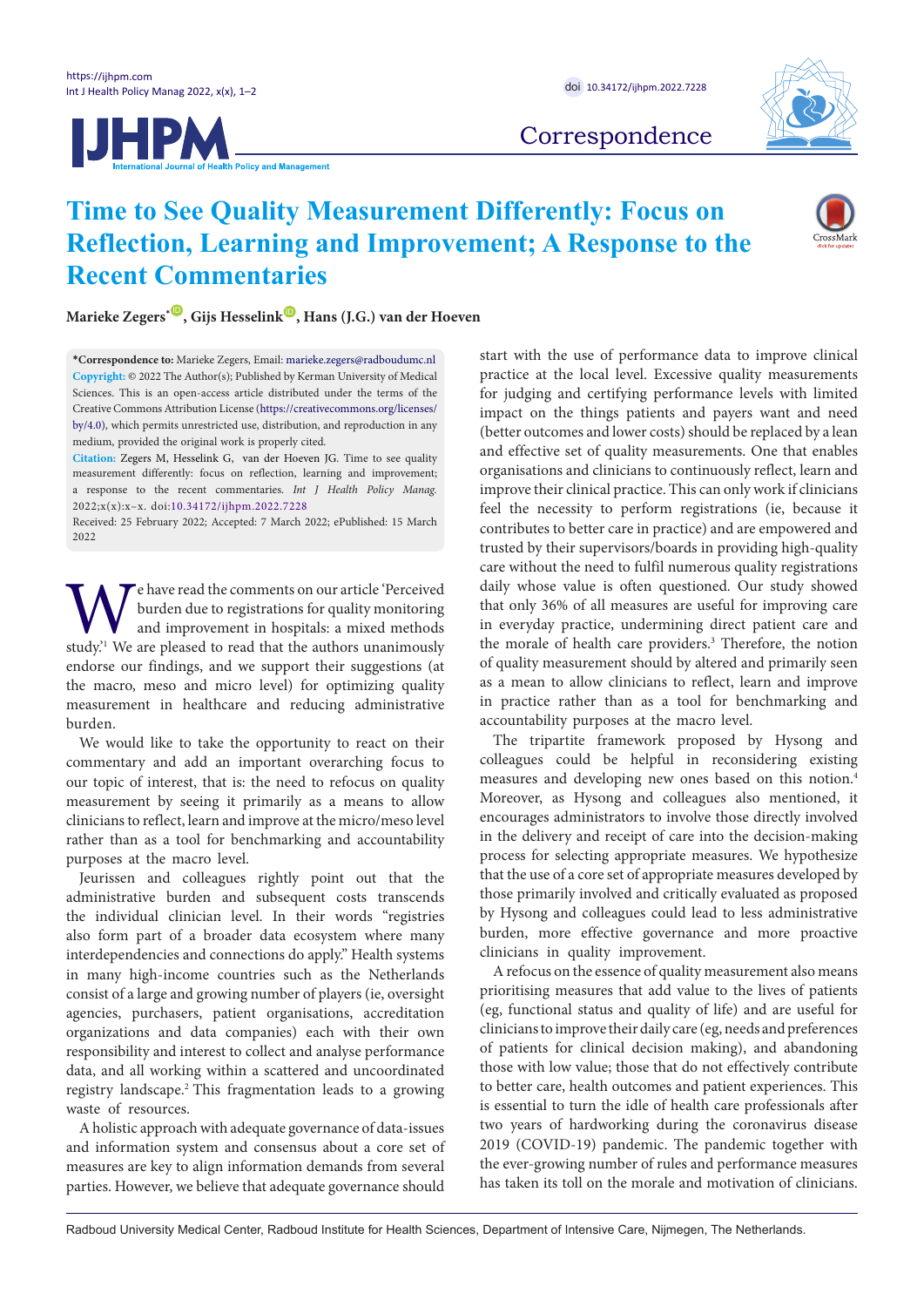



Correspondence

# **Time to See Quality Measurement Differently: Focus on Reflection, Learning and Improvement; A Response to the Recent Commentaries**



Marieke Zegers<sup>[\\*](#page-0-0)</sup> <sup>(0</sup>, Gijs Hesselink<sup> (0</sup>), Hans (J.G.) van der Hoeven

<span id="page-0-0"></span>**\*Correspondence to:** Marieke Zegers, Email: marieke.zegers@radboudumc.nl **Copyright:** © 2022 The Author(s); Published by Kerman University of Medical Sciences. This is an open-access article distributed under the terms of the Creative Commons Attribution License ([https://creativecommons.org/licenses/](https://creativecommons.org/licenses/by/4.0/) [by/4.0](https://creativecommons.org/licenses/by/4.0/)), which permits unrestricted use, distribution, and reproduction in any medium, provided the original work is properly cited.

**Citation:** Zegers M, Hesselink G, van der Hoeven JG. Time to see quality measurement differently: focus on reflection, learning and improvement; a response to the recent commentaries. *Int J Health Policy Manag.*  2022;x(x):x–x. doi:[10.34172/ijhpm.2022.7228](https://doi.org/10.34172/ijhpm.2022.7228)

Received: 25 February 2022; Accepted: 7 March 2022; ePublished: 15 March 2022

We have read the comments on our article 'Perceived burden due to registrations for quality monitoring and improvement in hospitals: a mixed methods study.<sup>21</sup> We are pleased to read that the authors unanimously burden due to registrations for quality monitoring and improvement in hospitals: a mixed methods endorse our findings, and we support their suggestions (at the macro, meso and micro level) for optimizing quality measurement in healthcare and reducing administrative burden.

We would like to take the opportunity to react on their commentary and add an important overarching focus to our topic of interest, that is: the need to refocus on quality measurement by seeing it primarily as a means to allow clinicians to reflect, learn and improve at the micro/meso level rather than as a tool for benchmarking and accountability purposes at the macro level.

Jeurissen and colleagues rightly point out that the administrative burden and subsequent costs transcends the individual clinician level. In their words "registries also form part of a broader data ecosystem where many interdependencies and connections do apply." Health systems in many high-income countries such as the Netherlands consist of a large and growing number of players (ie, oversight agencies, purchasers, patient organisations, accreditation organizations and data companies) each with their own responsibility and interest to collect and analyse performance data, and all working within a scattered and uncoordinated registry landscape.2 This fragmentation leads to a growing waste of resources.

A holistic approach with adequate governance of data-issues and information system and consensus about a core set of measures are key to align information demands from several parties. However, we believe that adequate governance should start with the use of performance data to improve clinical practice at the local level. Excessive quality measurements for judging and certifying performance levels with limited impact on the things patients and payers want and need (better outcomes and lower costs) should be replaced by a lean and effective set of quality measurements. One that enables organisations and clinicians to continuously reflect, learn and improve their clinical practice. This can only work if clinicians feel the necessity to perform registrations (ie, because it contributes to better care in practice) and are empowered and trusted by their supervisors/boards in providing high-quality care without the need to fulfil numerous quality registrations daily whose value is often questioned. Our study showed that only 36% of all measures are useful for improving care in everyday practice, undermining direct patient care and the morale of health care providers.<sup>3</sup> Therefore, the notion of quality measurement should by altered and primarily seen as a mean to allow clinicians to reflect, learn and improve in practice rather than as a tool for benchmarking and accountability purposes at the macro level.

The tripartite framework proposed by Hysong and colleagues could be helpful in reconsidering existing measures and developing new ones based on this notion.4 Moreover, as Hysong and colleagues also mentioned, it encourages administrators to involve those directly involved in the delivery and receipt of care into the decision-making process for selecting appropriate measures. We hypothesize that the use of a core set of appropriate measures developed by those primarily involved and critically evaluated as proposed by Hysong and colleagues could lead to less administrative burden, more effective governance and more proactive clinicians in quality improvement.

A refocus on the essence of quality measurement also means prioritising measures that add value to the lives of patients (eg, functional status and quality of life) and are useful for clinicians to improve their daily care (eg, needs and preferences of patients for clinical decision making), and abandoning those with low value; those that do not effectively contribute to better care, health outcomes and patient experiences. This is essential to turn the idle of health care professionals after two years of hardworking during the coronavirus disease 2019 (COVID-19) pandemic. The pandemic together with the ever-growing number of rules and performance measures has taken its toll on the morale and motivation of clinicians.

Radboud University Medical Center, Radboud Institute for Health Sciences, Department of Intensive Care, Nijmegen, The Netherlands.